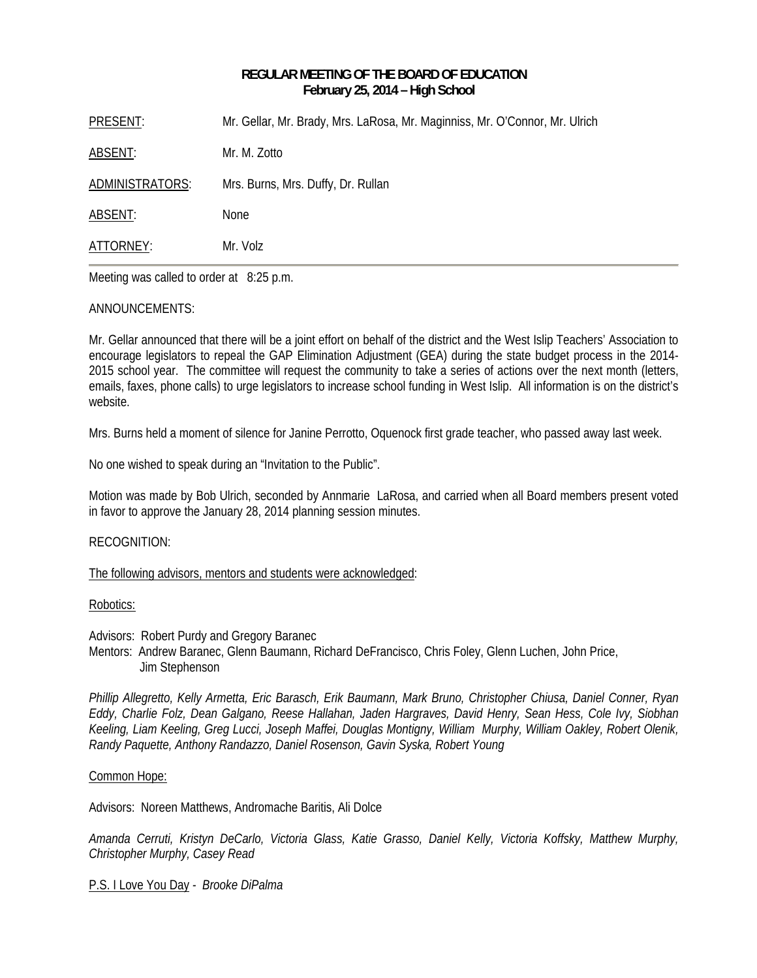# **REGULAR MEETING OF THE BOARD OF EDUCATION February 25, 2014 – High School**

| PRESENT:        | Mr. Gellar, Mr. Brady, Mrs. LaRosa, Mr. Maginniss, Mr. O'Connor, Mr. Ulrich |
|-----------------|-----------------------------------------------------------------------------|
| ABSENT:         | Mr. M. Zotto                                                                |
| ADMINISTRATORS: | Mrs. Burns, Mrs. Duffy, Dr. Rullan                                          |
| ABSENT:         | <b>None</b>                                                                 |
| ATTORNEY:       | Mr. Volz                                                                    |

Meeting was called to order at 8:25 p.m.

# ANNOUNCEMENTS:

Mr. Gellar announced that there will be a joint effort on behalf of the district and the West Islip Teachers' Association to encourage legislators to repeal the GAP Elimination Adjustment (GEA) during the state budget process in the 2014- 2015 school year. The committee will request the community to take a series of actions over the next month (letters, emails, faxes, phone calls) to urge legislators to increase school funding in West Islip. All information is on the district's website.

Mrs. Burns held a moment of silence for Janine Perrotto, Oquenock first grade teacher, who passed away last week.

No one wished to speak during an "Invitation to the Public".

Motion was made by Bob Ulrich, seconded by Annmarie LaRosa, and carried when all Board members present voted in favor to approve the January 28, 2014 planning session minutes.

# RECOGNITION:

### The following advisors, mentors and students were acknowledged:

### Robotics:

Advisors: Robert Purdy and Gregory Baranec

Mentors: Andrew Baranec, Glenn Baumann, Richard DeFrancisco, Chris Foley, Glenn Luchen, John Price, Jim Stephenson

*Phillip Allegretto, Kelly Armetta, Eric Barasch, Erik Baumann, Mark Bruno, Christopher Chiusa, Daniel Conner, Ryan Eddy, Charlie Folz, Dean Galgano, Reese Hallahan, Jaden Hargraves, David Henry, Sean Hess, Cole Ivy, Siobhan Keeling, Liam Keeling, Greg Lucci, Joseph Maffei, Douglas Montigny, William Murphy, William Oakley, Robert Olenik, Randy Paquette, Anthony Randazzo, Daniel Rosenson, Gavin Syska, Robert Young* 

### Common Hope:

Advisors: Noreen Matthews, Andromache Baritis, Ali Dolce

*Amanda Cerruti, Kristyn DeCarlo, Victoria Glass, Katie Grasso, Daniel Kelly, Victoria Koffsky, Matthew Murphy, Christopher Murphy, Casey Read* 

P.S. I Love You Day *- Brooke DiPalma*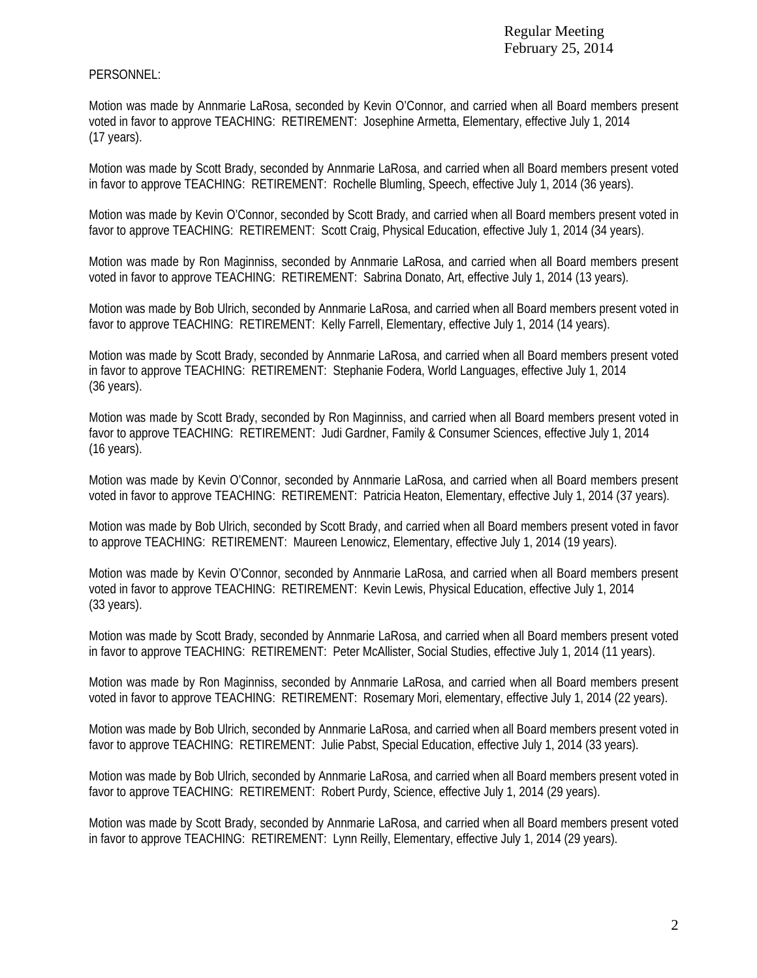# PERSONNEL:

Motion was made by Annmarie LaRosa, seconded by Kevin O'Connor, and carried when all Board members present voted in favor to approve TEACHING: RETIREMENT: Josephine Armetta, Elementary, effective July 1, 2014 (17 years).

Motion was made by Scott Brady, seconded by Annmarie LaRosa, and carried when all Board members present voted in favor to approve TEACHING: RETIREMENT: Rochelle Blumling, Speech, effective July 1, 2014 (36 years).

Motion was made by Kevin O'Connor, seconded by Scott Brady, and carried when all Board members present voted in favor to approve TEACHING: RETIREMENT: Scott Craig, Physical Education, effective July 1, 2014 (34 years).

Motion was made by Ron Maginniss, seconded by Annmarie LaRosa, and carried when all Board members present voted in favor to approve TEACHING: RETIREMENT: Sabrina Donato, Art, effective July 1, 2014 (13 years).

Motion was made by Bob Ulrich, seconded by Annmarie LaRosa, and carried when all Board members present voted in favor to approve TEACHING: RETIREMENT: Kelly Farrell, Elementary, effective July 1, 2014 (14 years).

Motion was made by Scott Brady, seconded by Annmarie LaRosa, and carried when all Board members present voted in favor to approve TEACHING: RETIREMENT: Stephanie Fodera, World Languages, effective July 1, 2014 (36 years).

Motion was made by Scott Brady, seconded by Ron Maginniss, and carried when all Board members present voted in favor to approve TEACHING: RETIREMENT: Judi Gardner, Family & Consumer Sciences, effective July 1, 2014 (16 years).

Motion was made by Kevin O'Connor, seconded by Annmarie LaRosa, and carried when all Board members present voted in favor to approve TEACHING: RETIREMENT: Patricia Heaton, Elementary, effective July 1, 2014 (37 years).

Motion was made by Bob Ulrich, seconded by Scott Brady, and carried when all Board members present voted in favor to approve TEACHING: RETIREMENT: Maureen Lenowicz, Elementary, effective July 1, 2014 (19 years).

Motion was made by Kevin O'Connor, seconded by Annmarie LaRosa, and carried when all Board members present voted in favor to approve TEACHING: RETIREMENT: Kevin Lewis, Physical Education, effective July 1, 2014 (33 years).

Motion was made by Scott Brady, seconded by Annmarie LaRosa, and carried when all Board members present voted in favor to approve TEACHING: RETIREMENT: Peter McAllister, Social Studies, effective July 1, 2014 (11 years).

Motion was made by Ron Maginniss, seconded by Annmarie LaRosa, and carried when all Board members present voted in favor to approve TEACHING: RETIREMENT: Rosemary Mori, elementary, effective July 1, 2014 (22 years).

Motion was made by Bob Ulrich, seconded by Annmarie LaRosa, and carried when all Board members present voted in favor to approve TEACHING: RETIREMENT: Julie Pabst, Special Education, effective July 1, 2014 (33 years).

Motion was made by Bob Ulrich, seconded by Annmarie LaRosa, and carried when all Board members present voted in favor to approve TEACHING: RETIREMENT: Robert Purdy, Science, effective July 1, 2014 (29 years).

Motion was made by Scott Brady, seconded by Annmarie LaRosa, and carried when all Board members present voted in favor to approve TEACHING: RETIREMENT: Lynn Reilly, Elementary, effective July 1, 2014 (29 years).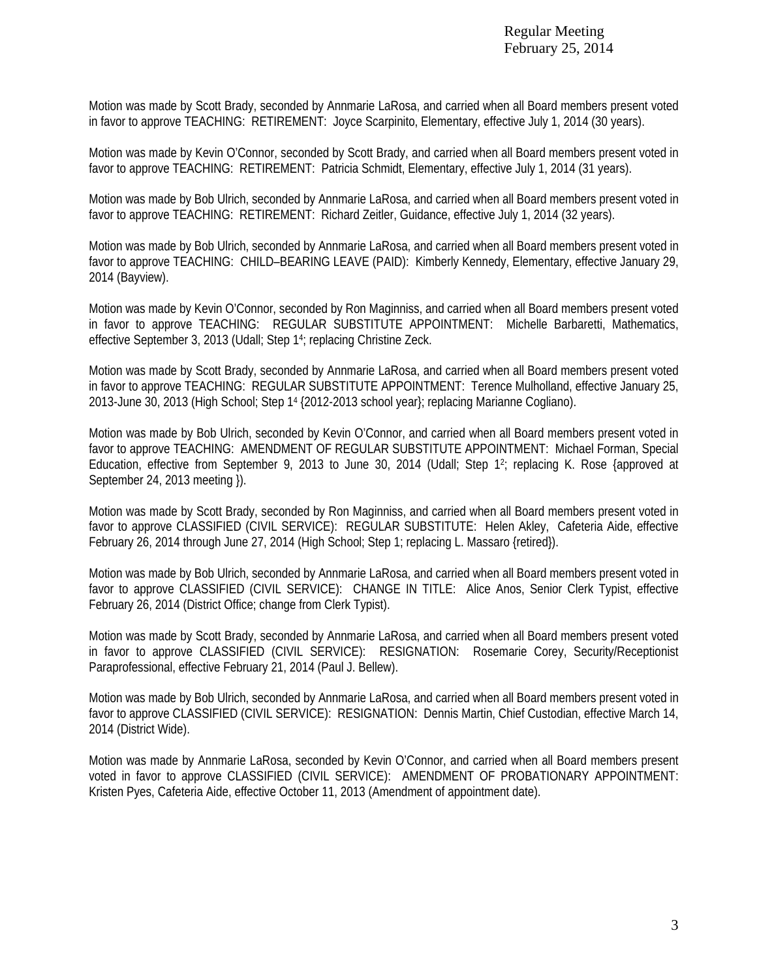Motion was made by Scott Brady, seconded by Annmarie LaRosa, and carried when all Board members present voted in favor to approve TEACHING: RETIREMENT: Joyce Scarpinito, Elementary, effective July 1, 2014 (30 years).

Motion was made by Kevin O'Connor, seconded by Scott Brady, and carried when all Board members present voted in favor to approve TEACHING: RETIREMENT: Patricia Schmidt, Elementary, effective July 1, 2014 (31 years).

Motion was made by Bob Ulrich, seconded by Annmarie LaRosa, and carried when all Board members present voted in favor to approve TEACHING: RETIREMENT: Richard Zeitler, Guidance, effective July 1, 2014 (32 years).

Motion was made by Bob Ulrich, seconded by Annmarie LaRosa, and carried when all Board members present voted in favor to approve TEACHING: CHILD–BEARING LEAVE (PAID): Kimberly Kennedy, Elementary, effective January 29, 2014 (Bayview).

Motion was made by Kevin O'Connor, seconded by Ron Maginniss, and carried when all Board members present voted in favor to approve TEACHING: REGULAR SUBSTITUTE APPOINTMENT: Michelle Barbaretti, Mathematics, effective September 3, 2013 (Udall; Step 14; replacing Christine Zeck.

Motion was made by Scott Brady, seconded by Annmarie LaRosa, and carried when all Board members present voted in favor to approve TEACHING: REGULAR SUBSTITUTE APPOINTMENT: Terence Mulholland, effective January 25, 2013-June 30, 2013 (High School; Step 14 {2012-2013 school year}; replacing Marianne Cogliano).

Motion was made by Bob Ulrich, seconded by Kevin O'Connor, and carried when all Board members present voted in favor to approve TEACHING: AMENDMENT OF REGULAR SUBSTITUTE APPOINTMENT: Michael Forman, Special Education, effective from September 9, 2013 to June 30, 2014 (Udall; Step 12; replacing K. Rose {approved at September 24, 2013 meeting }).

Motion was made by Scott Brady, seconded by Ron Maginniss, and carried when all Board members present voted in favor to approve CLASSIFIED (CIVIL SERVICE): REGULAR SUBSTITUTE: Helen Akley, Cafeteria Aide, effective February 26, 2014 through June 27, 2014 (High School; Step 1; replacing L. Massaro {retired}).

Motion was made by Bob Ulrich, seconded by Annmarie LaRosa, and carried when all Board members present voted in favor to approve CLASSIFIED (CIVIL SERVICE): CHANGE IN TITLE: Alice Anos, Senior Clerk Typist, effective February 26, 2014 (District Office; change from Clerk Typist).

Motion was made by Scott Brady, seconded by Annmarie LaRosa, and carried when all Board members present voted in favor to approve CLASSIFIED (CIVIL SERVICE): RESIGNATION: Rosemarie Corey, Security/Receptionist Paraprofessional, effective February 21, 2014 (Paul J. Bellew).

Motion was made by Bob Ulrich, seconded by Annmarie LaRosa, and carried when all Board members present voted in favor to approve CLASSIFIED (CIVIL SERVICE): RESIGNATION: Dennis Martin, Chief Custodian, effective March 14, 2014 (District Wide).

Motion was made by Annmarie LaRosa, seconded by Kevin O'Connor, and carried when all Board members present voted in favor to approve CLASSIFIED (CIVIL SERVICE): AMENDMENT OF PROBATIONARY APPOINTMENT: Kristen Pyes, Cafeteria Aide, effective October 11, 2013 (Amendment of appointment date).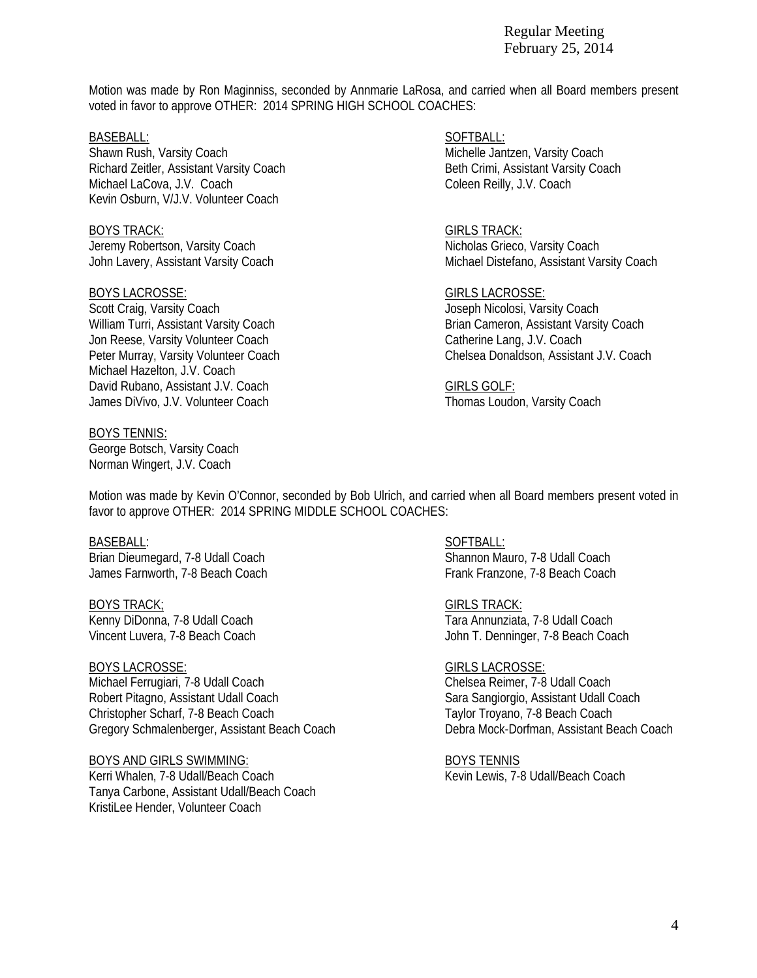Motion was made by Ron Maginniss, seconded by Annmarie LaRosa, and carried when all Board members present voted in favor to approve OTHER: 2014 SPRING HIGH SCHOOL COACHES:

Shawn Rush, Varsity Coach **Michelle Jantzen, Varsity Coach Michelle Jantzen**, Varsity Coach Richard Zeitler, Assistant Varsity Coach Beth Crimi, Assistant Varsity Coach Beth Crimi, Assistant Varsity Coach Michael LaCova, J.V. Coach Coleen Reilly, J.V. Coach Coleen Reilly, J.V. Coach Kevin Osburn, V/J.V. Volunteer Coach

BOYS TRACK: GIRLS TRACK: Jeremy Robertson, Varsity Coach Nicholas Grieco, Varsity Coach Nicholas Grieco, Varsity Coach

### BOYS LACROSSE: GIRLS LACROSSE:

Scott Craig, Varsity Coach Joseph Nicolosi, Varsity Coach Joseph Nicolosi, Varsity Coach Jon Reese, Varsity Volunteer Coach Catherine Lang, J.V. Coach Michael Hazelton, J.V. Coach David Rubano, Assistant J.V. Coach GIRLS GOLF: James DiVivo, J.V. Volunteer Coach Thomas Loudon, Varsity Coach Thomas Loudon, Varsity Coach

### BOYS TENNIS:

George Botsch, Varsity Coach Norman Wingert, J.V. Coach

BASEBALL: SOFTBALL: SOFTBALL: SOFTBALL: SOFTBALL: SOFTBALL: SOFTBALL: SOFTBALL: SOFTBALL: SOFTBALL: SOFTBALL: SOFTBALL: SOFTBALL: SOFTBALL: SOFTBALL: SOFTBALL: SOFTBALL: SOFTBALL: SOFTBALL: SOFTBALL: SOFTBALL: SOFTBALL: SO

John Lavery, Assistant Varsity Coach **Michael Distefano, Assistant Varsity Coach** Michael Distefano, Assistant Varsity Coach

William Turri, Assistant Varsity Coach **Brian Cameron, Assistant Varsity Coach** Brian Cameron, Assistant Varsity Coach Peter Murray, Varsity Volunteer Coach Chelsea Donaldson, Assistant J.V. Coach

Motion was made by Kevin O'Connor, seconded by Bob Ulrich, and carried when all Board members present voted in favor to approve OTHER: 2014 SPRING MIDDLE SCHOOL COACHES:

Brian Dieumegard, 7-8 Udall Coach Shannon Mauro, 7-8 Udall Coach James Farnworth, 7-8 Beach Coach **Frank Frank Frank Franzone, 7-8 Beach Coach** Frank Franzone, 7-8 Beach Coach

Vincent Luvera, 7-8 Beach Coach John T. Denninger, 7-8 Beach Coach

Michael Ferrugiari, 7-8 Udall Coach Chelsea Reimer, 7-8 Udall Coach Robert Pitagno, Assistant Udall Coach Sara Sangiorgio, Assistant Udall Coach Sara Sangiorgio, Assistant Udall Coach Christopher Scharf, 7-8 Beach Coach Taylor Troyano, 7-8 Beach Coach Taylor Troyano, 7-8 Beach Coach Gregory Schmalenberger, Assistant Beach Coach Debra Mock-Dorfman, Assistant Beach Coach

### BOYS AND GIRLS SWIMMING: BOYS TENNIS

Kerri Whalen, 7-8 Udall/Beach Coach News, 7-8 Udall/Beach Coach Kevin Lewis, 7-8 Udall/Beach Coach Tanya Carbone, Assistant Udall/Beach Coach KristiLee Hender, Volunteer Coach

# BASEBALL: SOFTBALL: SOFTBALL: SOFTBALL: SOFTBALL: SOFTBALL: SOFTBALL: SOFTBALL: SOFTBALL: SOFTBALL: SOFTBALL: SOFTBALL: SOFTBALL: SOFTBALL: SOFTBALL: SOFTBALL: SOFTBALL: SOFTBALL: SOFTBALL: SOFTBALL: SOFTBALL: SOFTBALL: SO

BOYS TRACK; GIRLS TRACK: Kenny DiDonna, 7-8 Udall Coach **Tara Annunziata, 7-8 Udall Coach** Tara Annunziata, 7-8 Udall Coach

# BOYS LACROSSE: GIRLS LACROSSE: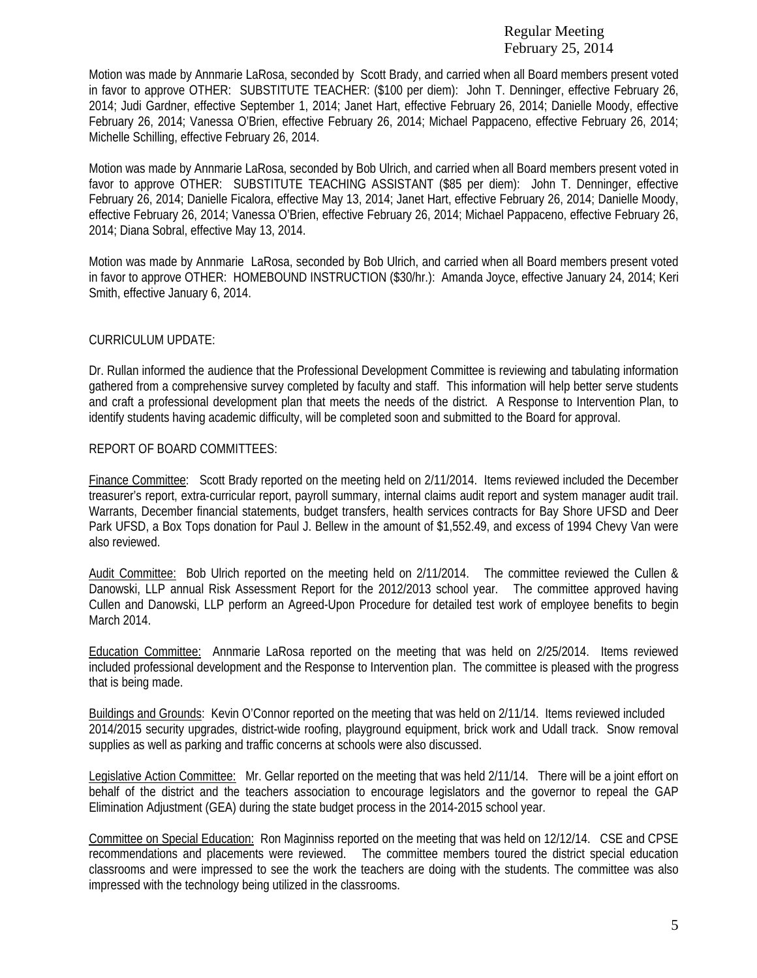Motion was made by Annmarie LaRosa, seconded by Scott Brady, and carried when all Board members present voted in favor to approve OTHER: SUBSTITUTE TEACHER: (\$100 per diem): John T. Denninger, effective February 26, 2014; Judi Gardner, effective September 1, 2014; Janet Hart, effective February 26, 2014; Danielle Moody, effective February 26, 2014; Vanessa O'Brien, effective February 26, 2014; Michael Pappaceno, effective February 26, 2014; Michelle Schilling, effective February 26, 2014.

Motion was made by Annmarie LaRosa, seconded by Bob Ulrich, and carried when all Board members present voted in favor to approve OTHER: SUBSTITUTE TEACHING ASSISTANT (\$85 per diem): John T. Denninger, effective February 26, 2014; Danielle Ficalora, effective May 13, 2014; Janet Hart, effective February 26, 2014; Danielle Moody, effective February 26, 2014; Vanessa O'Brien, effective February 26, 2014; Michael Pappaceno, effective February 26, 2014; Diana Sobral, effective May 13, 2014.

Motion was made by Annmarie LaRosa, seconded by Bob Ulrich, and carried when all Board members present voted in favor to approve OTHER: HOMEBOUND INSTRUCTION (\$30/hr.): Amanda Joyce, effective January 24, 2014; Keri Smith, effective January 6, 2014.

# CURRICULUM UPDATE:

Dr. Rullan informed the audience that the Professional Development Committee is reviewing and tabulating information gathered from a comprehensive survey completed by faculty and staff. This information will help better serve students and craft a professional development plan that meets the needs of the district. A Response to Intervention Plan, to identify students having academic difficulty, will be completed soon and submitted to the Board for approval.

# REPORT OF BOARD COMMITTEES:

Finance Committee: Scott Brady reported on the meeting held on 2/11/2014. Items reviewed included the December treasurer's report, extra-curricular report, payroll summary, internal claims audit report and system manager audit trail. Warrants, December financial statements, budget transfers, health services contracts for Bay Shore UFSD and Deer Park UFSD, a Box Tops donation for Paul J. Bellew in the amount of \$1,552.49, and excess of 1994 Chevy Van were also reviewed.

Audit Committee: Bob Ulrich reported on the meeting held on 2/11/2014. The committee reviewed the Cullen & Danowski, LLP annual Risk Assessment Report for the 2012/2013 school year. The committee approved having Cullen and Danowski, LLP perform an Agreed-Upon Procedure for detailed test work of employee benefits to begin March 2014.

Education Committee: Annmarie LaRosa reported on the meeting that was held on 2/25/2014. Items reviewed included professional development and the Response to Intervention plan. The committee is pleased with the progress that is being made.

Buildings and Grounds: Kevin O'Connor reported on the meeting that was held on 2/11/14. Items reviewed included 2014/2015 security upgrades, district-wide roofing, playground equipment, brick work and Udall track. Snow removal supplies as well as parking and traffic concerns at schools were also discussed.

Legislative Action Committee: Mr. Gellar reported on the meeting that was held 2/11/14. There will be a joint effort on behalf of the district and the teachers association to encourage legislators and the governor to repeal the GAP Elimination Adjustment (GEA) during the state budget process in the 2014-2015 school year.

Committee on Special Education: Ron Maginniss reported on the meeting that was held on 12/12/14. CSE and CPSE recommendations and placements were reviewed. The committee members toured the district special education classrooms and were impressed to see the work the teachers are doing with the students. The committee was also impressed with the technology being utilized in the classrooms.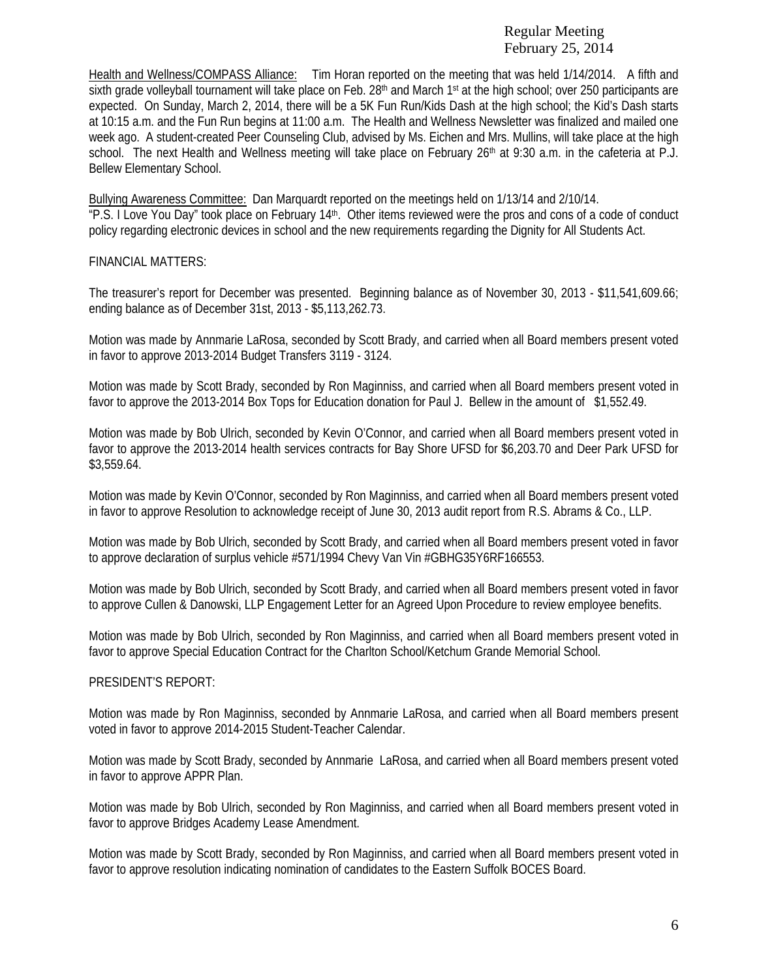Health and Wellness/COMPASS Alliance: Tim Horan reported on the meeting that was held 1/14/2014. A fifth and sixth grade volleyball tournament will take place on Feb.  $28<sup>th</sup>$  and March 1<sup>st</sup> at the high school; over 250 participants are expected. On Sunday, March 2, 2014, there will be a 5K Fun Run/Kids Dash at the high school; the Kid's Dash starts at 10:15 a.m. and the Fun Run begins at 11:00 a.m. The Health and Wellness Newsletter was finalized and mailed one week ago. A student-created Peer Counseling Club, advised by Ms. Eichen and Mrs. Mullins, will take place at the high school. The next Health and Wellness meeting will take place on February  $26<sup>th</sup>$  at 9:30 a.m. in the cafeteria at P.J. Bellew Elementary School.

Bullying Awareness Committee: Dan Marquardt reported on the meetings held on 1/13/14 and 2/10/14. "P.S. I Love You Day" took place on February 14th. Other items reviewed were the pros and cons of a code of conduct policy regarding electronic devices in school and the new requirements regarding the Dignity for All Students Act.

# FINANCIAL MATTERS:

The treasurer's report for December was presented. Beginning balance as of November 30, 2013 - \$11,541,609.66; ending balance as of December 31st, 2013 - \$5,113,262.73.

Motion was made by Annmarie LaRosa, seconded by Scott Brady, and carried when all Board members present voted in favor to approve 2013-2014 Budget Transfers 3119 - 3124.

Motion was made by Scott Brady, seconded by Ron Maginniss, and carried when all Board members present voted in favor to approve the 2013-2014 Box Tops for Education donation for Paul J. Bellew in the amount of \$1,552.49.

Motion was made by Bob Ulrich, seconded by Kevin O'Connor, and carried when all Board members present voted in favor to approve the 2013-2014 health services contracts for Bay Shore UFSD for \$6,203.70 and Deer Park UFSD for \$3,559.64.

Motion was made by Kevin O'Connor, seconded by Ron Maginniss, and carried when all Board members present voted in favor to approve Resolution to acknowledge receipt of June 30, 2013 audit report from R.S. Abrams & Co., LLP.

Motion was made by Bob Ulrich, seconded by Scott Brady, and carried when all Board members present voted in favor to approve declaration of surplus vehicle #571/1994 Chevy Van Vin #GBHG35Y6RF166553.

Motion was made by Bob Ulrich, seconded by Scott Brady, and carried when all Board members present voted in favor to approve Cullen & Danowski, LLP Engagement Letter for an Agreed Upon Procedure to review employee benefits.

Motion was made by Bob Ulrich, seconded by Ron Maginniss, and carried when all Board members present voted in favor to approve Special Education Contract for the Charlton School/Ketchum Grande Memorial School.

# PRESIDENT'S REPORT:

Motion was made by Ron Maginniss, seconded by Annmarie LaRosa, and carried when all Board members present voted in favor to approve 2014-2015 Student-Teacher Calendar.

Motion was made by Scott Brady, seconded by Annmarie LaRosa, and carried when all Board members present voted in favor to approve APPR Plan.

Motion was made by Bob Ulrich, seconded by Ron Maginniss, and carried when all Board members present voted in favor to approve Bridges Academy Lease Amendment.

Motion was made by Scott Brady, seconded by Ron Maginniss, and carried when all Board members present voted in favor to approve resolution indicating nomination of candidates to the Eastern Suffolk BOCES Board.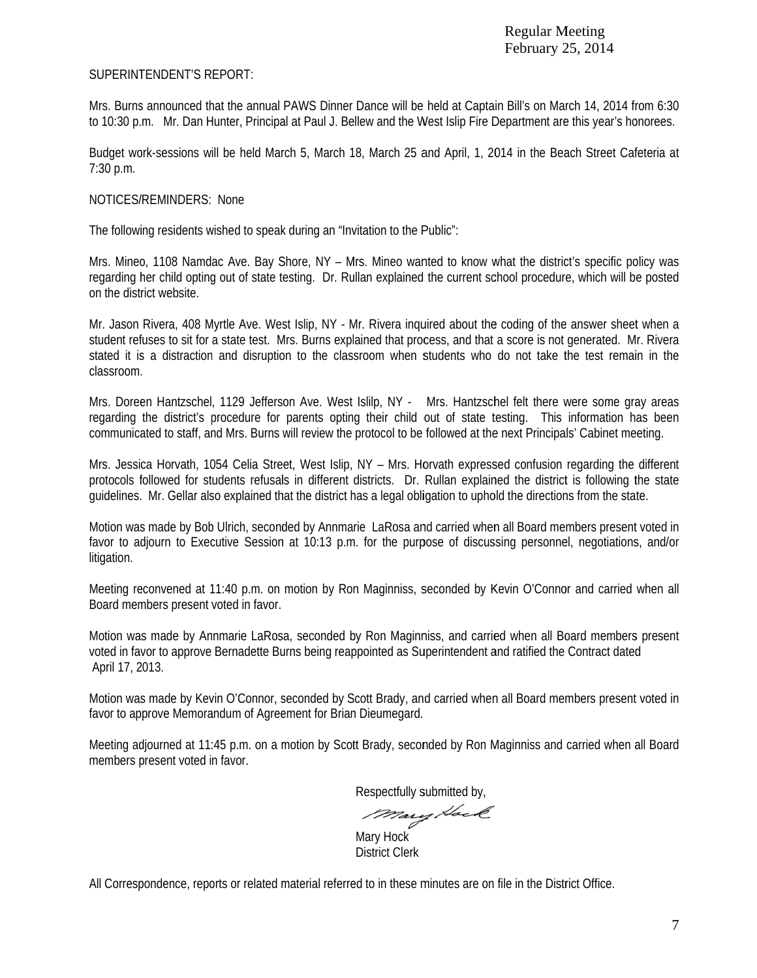# SUPERINTENDENT'S REPORT:

Mrs. Burns announced that the annual PAWS Dinner Dance will be held at Captain Bill's on March 14, 2014 from 6:30 to 10:30 p.m. Mr. Dan Hunter, Principal at Paul J. Bellew and the West Islip Fire Department are this year's honorees.

Budget work-sessions will be held March 5, March 18, March 25 and April, 1, 2014 in the Beach Street Cafeteria at 7:30 p.m.

# NOTICES/REMINDERS: None

The following residents wished to speak during an "Invitation to the Public":

Mrs. Mineo, 1108 Namdac Ave. Bay Shore, NY – Mrs. Mineo wanted to know what the district's specific policy was regarding her child opting out of state testing. Dr. Rullan explained the current school procedure, which will be posted on the district website.

Mr. Jason Rivera, 408 Myrtle Ave. West Islip, NY - Mr. Rivera inquired about the coding of the answer sheet when a student refuses to sit for a state test. Mrs. Burns explained that process, and that a score is not generated. Mr. Rivera stated it is a distraction and disruption to the classroom when students who do not take the test remain in the classroom.

classroom.<br>Mrs. Doreen Hantzschel, 1129 Jefferson Ave. West Islilp, NY - Mrs. Hantzschel felt there were some gray areas regarding the district's procedure for parents opting their child out of state testing. This information has been communicated to staff, and Mrs. Burns will review the protocol to be followed at the next Principals' Cabinet meeting.

Mrs. Jessica Horvath, 1054 Celia Street, West Islip, NY – Mrs. Horvath expressed confusion regarding the different protocols followed for students refusals in different districts. Dr. Rullan explained the district is following the state guidelines. Mr. Gellar also explained that the district has a legal obligation to uphold the directions from the state.

Motion was made by Bob Ulrich, seconded by Annmarie LaRosa and carried when all Board members present voted in favor to adjourn to Executive Session at 10:13 p.m. for the purpose of discussing personnel, negotiations, and/or litigation.

Meeting reconvened at 11:40 p.m. on motion by Ron Maginniss, seconded by Kevin O'Connor and carried when all Board members present voted in favor.

Motion was made by Annmarie LaRosa, seconded by Ron Maginniss, and carried when all Board members present voted in favor to approve Bernadette Burns being reappointed as Superintendent and ratified the Contract dated April 17, 2 2013. voted in favor to approve Bernadette Burns being reappointed as Superintendent and ratified the Contract dated<br>April 17, 2013.<br>Motion was made by Kevin O'Connor, seconded by Scott Brady, and carried when all Board members

favor to approve Memorandum of Agreement for Brian Dieumegard.

Meeting adjourned at 11:45 p.m. on a motion by Scott Brady, seconded by Ron Maginniss and carried when all Board members p present voted i n favor.

Respectfully submitted by,

Mary Hack

District Clerk

All Correspondence, reports or related material referred to in these minutes are on file in the District Office.